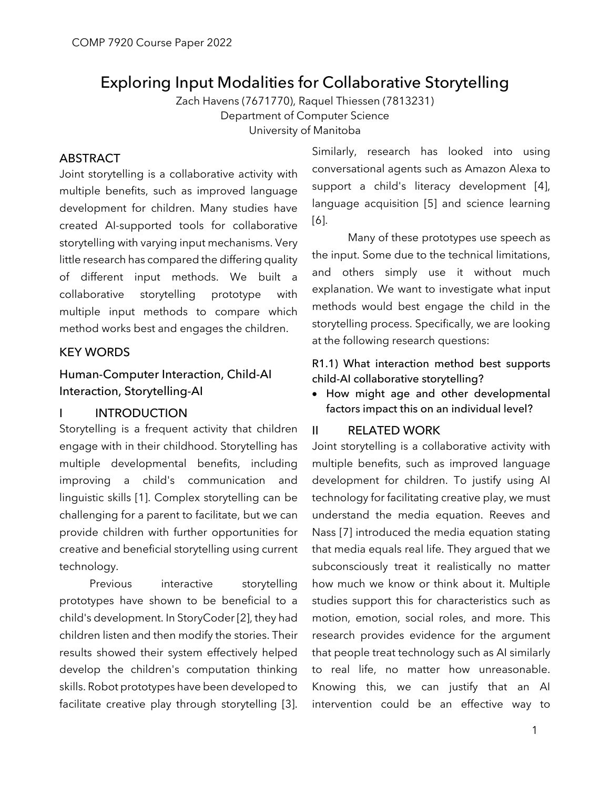# Exploring Input Modalities for Collaborative Storytelling

Zach Havens (7671770), Raquel Thiessen (7813231) Department of Computer Science University of Manitoba

### ABSTRACT

Joint storytelling is a collaborative activity with multiple benefits, such as improved language development for children. Many studies have created AI-supported tools for collaborative storytelling with varying input mechanisms. Very little research has compared the differing quality of different input methods. We built a collaborative storytelling prototype with multiple input methods to compare which method works best and engages the children.

### KEY WORDS

## Human-Computer Interaction, Child-AI Interaction, Storytelling-AI

### I INTRODUCTION

Storytelling is a frequent activity that children engage with in their childhood. Storytelling has multiple developmental benefits, including improving a child's communication and linguistic skills [1]. Complex storytelling can be challenging for a parent to facilitate, but we can provide children with further opportunities for creative and beneficial storytelling using current technology.

 Previous interactive storytelling prototypes have shown to be beneficial to a child's development. In StoryCoder [2], they had children listen and then modify the stories. Their results showed their system effectively helped develop the children's computation thinking skills. Robot prototypes have been developed to facilitate creative play through storytelling [3]. Similarly, research has looked into using conversational agents such as Amazon Alexa to support a child's literacy development [4], language acquisition [5] and science learning [6].

Many of these prototypes use speech as the input. Some due to the technical limitations, and others simply use it without much explanation. We want to investigate what input methods would best engage the child in the storytelling process. Specifically, we are looking at the following research questions:

### R1.1) What interaction method best supports child-AI collaborative storytelling?

• How might age and other developmental factors impact this on an individual level?

### II RELATED WORK

Joint storytelling is a collaborative activity with multiple benefits, such as improved language development for children. To justify using AI technology for facilitating creative play, we must understand the media equation. Reeves and Nass [7] introduced the media equation stating that media equals real life. They argued that we subconsciously treat it realistically no matter how much we know or think about it. Multiple studies support this for characteristics such as motion, emotion, social roles, and more. This research provides evidence for the argument that people treat technology such as AI similarly to real life, no matter how unreasonable. Knowing this, we can justify that an AI intervention could be an effective way to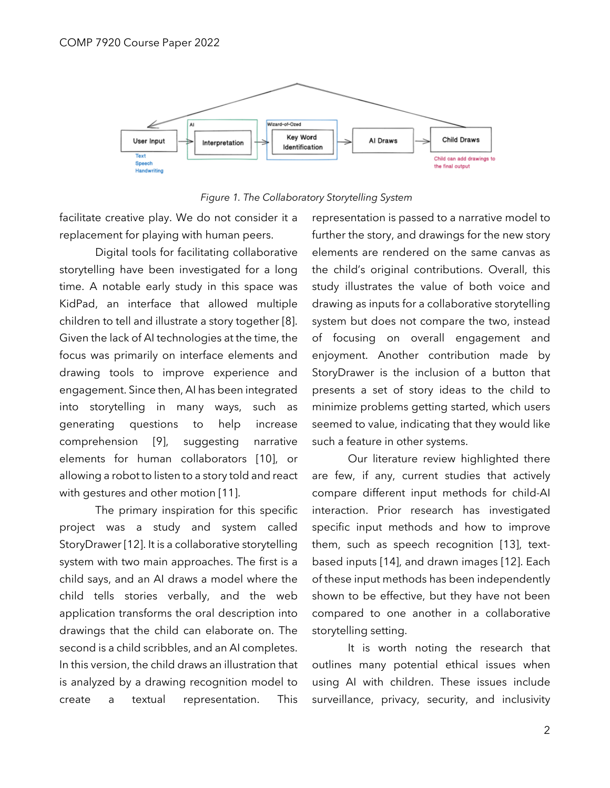



facilitate creative play. We do not consider it a replacement for playing with human peers.

Digital tools for facilitating collaborative storytelling have been investigated for a long time. A notable early study in this space was KidPad, an interface that allowed multiple children to tell and illustrate a story together [8]. Given the lack of AI technologies at the time, the focus was primarily on interface elements and drawing tools to improve experience and engagement. Since then, AI has been integrated into storytelling in many ways, such as generating questions to help increase comprehension [9], suggesting narrative elements for human collaborators [10], or allowing a robot to listen to a story told and react with gestures and other motion [11].

The primary inspiration for this specific project was a study and system called StoryDrawer [12]. It is a collaborative storytelling system with two main approaches. The first is a child says, and an AI draws a model where the child tells stories verbally, and the web application transforms the oral description into drawings that the child can elaborate on. The second is a child scribbles, and an AI completes. In this version, the child draws an illustration that is analyzed by a drawing recognition model to create a textual representation. This representation is passed to a narrative model to further the story, and drawings for the new story elements are rendered on the same canvas as the child's original contributions. Overall, this study illustrates the value of both voice and drawing as inputs for a collaborative storytelling system but does not compare the two, instead of focusing on overall engagement and enjoyment. Another contribution made by StoryDrawer is the inclusion of a button that presents a set of story ideas to the child to minimize problems getting started, which users seemed to value, indicating that they would like such a feature in other systems.

Our literature review highlighted there are few, if any, current studies that actively compare different input methods for child-AI interaction. Prior research has investigated specific input methods and how to improve them, such as speech recognition [13], textbased inputs [14], and drawn images [12]. Each of these input methods has been independently shown to be effective, but they have not been compared to one another in a collaborative storytelling setting.

It is worth noting the research that outlines many potential ethical issues when using AI with children. These issues include surveillance, privacy, security, and inclusivity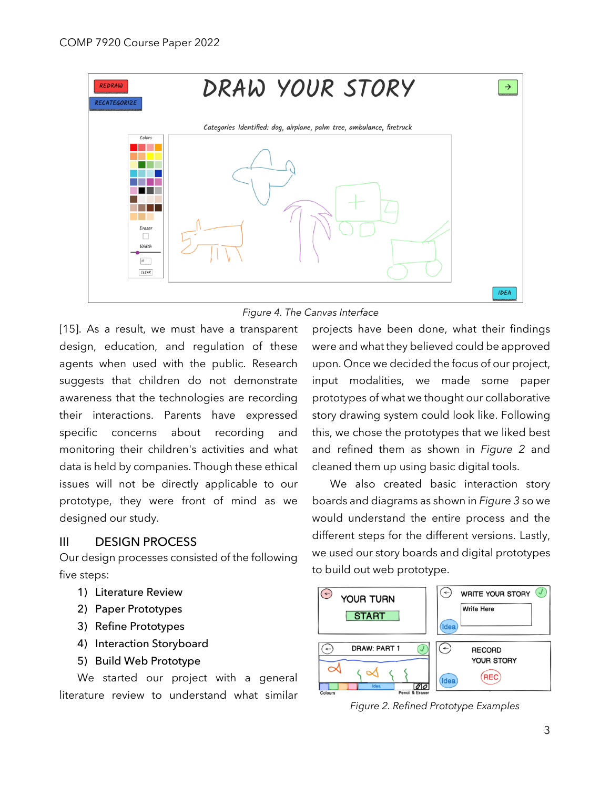



[15]. As a result, we must have a transparent design, education, and regulation of these agents when used with the public. Research suggests that children do not demonstrate awareness that the technologies are recording their interactions. Parents have expressed specific concerns about recording and monitoring their children's activities and what data is held by companies. Though these ethical issues will not be directly applicable to our prototype, they were front of mind as we designed our study.

### III DESIGN PROCESS

Our design processes consisted of the following five steps:

- 1) Literature Review
- 2) Paper Prototypes
- 3) Refine Prototypes
- 4) Interaction Storyboard
- 5) Build Web Prototype

We started our project with a general literature review to understand what similar projects have been done, what their findings were and what they believed could be approved upon. Once we decided the focus of our project, input modalities, we made some paper prototypes of what we thought our collaborative story drawing system could look like. Following this, we chose the prototypes that we liked best and refined them as shown in *Figure 2* and cleaned them up using basic digital tools.

We also created basic interaction story boards and diagrams as shown in *Figure 3* so we would understand the entire process and the different steps for the different versions. Lastly, we used our story boards and digital prototypes to build out web prototype.



*Figure 2. Refined Prototype Examples*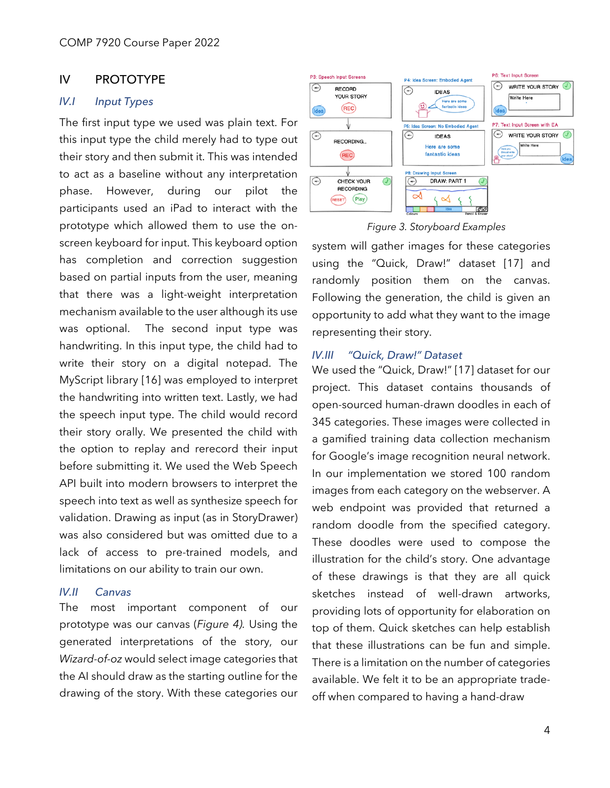### IV PROTOTYPE

### *IV.I Input Types*

The first input type we used was plain text. For this input type the child merely had to type out their story and then submit it. This was intended to act as a baseline without any interpretation phase. However, during our pilot the participants used an iPad to interact with the prototype which allowed them to use the onscreen keyboard for input. This keyboard option has completion and correction suggestion based on partial inputs from the user, meaning that there was a light-weight interpretation mechanism available to the user although its use was optional. The second input type was handwriting. In this input type, the child had to write their story on a digital notepad. The MyScript library [16] was employed to interpret the handwriting into written text. Lastly, we had the speech input type. The child would record their story orally. We presented the child with the option to replay and rerecord their input before submitting it. We used the Web Speech API built into modern browsers to interpret the speech into text as well as synthesize speech for validation. Drawing as input (as in StoryDrawer) was also considered but was omitted due to a lack of access to pre-trained models, and limitations on our ability to train our own.

### *IV.II Canvas*

The most important component of our prototype was our canvas (*Figure 4).* Using the generated interpretations of the story, our *Wizard-of-oz* would select image categories that the AI should draw as the starting outline for the drawing of the story. With these categories our





system will gather images for these categories using the "Quick, Draw!" dataset [17] and randomly position them on the canvas. Following the generation, the child is given an opportunity to add what they want to the image representing their story.

#### *IV.III "Quick, Draw!" Dataset*

We used the "Quick, Draw!" [17] dataset for our project. This dataset contains thousands of open-sourced human-drawn doodles in each of 345 categories. These images were collected in a gamified training data collection mechanism for Google's image recognition neural network. In our implementation we stored 100 random images from each category on the webserver. A web endpoint was provided that returned a random doodle from the specified category. These doodles were used to compose the illustration for the child's story. One advantage of these drawings is that they are all quick sketches instead of well-drawn artworks, providing lots of opportunity for elaboration on top of them. Quick sketches can help establish that these illustrations can be fun and simple. There is a limitation on the number of categories available. We felt it to be an appropriate tradeoff when compared to having a hand-draw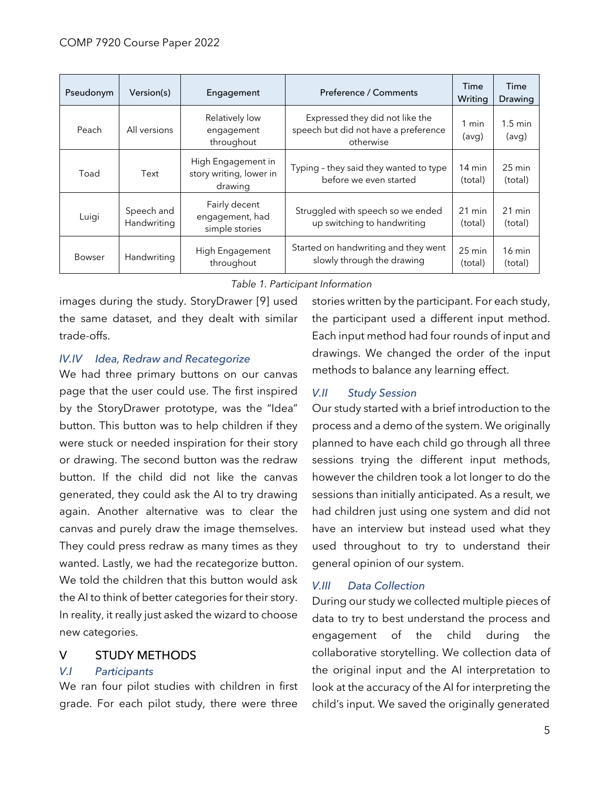| Pseudonym     | Version(s)                | Engagement                                               | Preference / Comments                                                                | Time<br>Writing             | Time<br>Drawing             |
|---------------|---------------------------|----------------------------------------------------------|--------------------------------------------------------------------------------------|-----------------------------|-----------------------------|
| Peach         | All versions              | Relatively low<br>engagement<br>throughout               | Expressed they did not like the<br>speech but did not have a preference<br>otherwise | 1 min<br>(avg)              | $1.5 \text{ min}$<br>(avg)  |
| Toad          | Text                      | High Engagement in<br>story writing, lower in<br>drawing | Typing - they said they wanted to type<br>before we even started                     | $14 \text{ min}$<br>(total) | $25 \text{ min}$<br>(total) |
| Luigi         | Speech and<br>Handwriting | Fairly decent<br>engagement, had<br>simple stories       | Struggled with speech so we ended<br>up switching to handwriting                     | $21 \text{ min}$<br>(total) | $21 \text{ min}$<br>(total) |
| <b>Bowser</b> | Handwriting               | High Engagement<br>throughout                            | Started on handwriting and they went<br>slowly through the drawing                   | 25 min<br>(total)           | $16 \text{ min}$<br>(total) |

### *Table 1. Participant Information*

images during the study. StoryDrawer [9] used the same dataset, and they dealt with similar trade-offs.

### *IV.IV Idea, Redraw and Recategorize*

We had three primary buttons on our canvas page that the user could use. The first inspired by the StoryDrawer prototype, was the "Idea" button. This button was to help children if they were stuck or needed inspiration for their story or drawing. The second button was the redraw button. If the child did not like the canvas generated, they could ask the AI to try drawing again. Another alternative was to clear the canvas and purely draw the image themselves. They could press redraw as many times as they wanted. Lastly, we had the recategorize button. We told the children that this button would ask the AI to think of better categories for their story. In reality, it really just asked the wizard to choose new categories.

### V STUDY METHODS

### *V.I Participants*

We ran four pilot studies with children in first grade. For each pilot study, there were three stories written by the participant. For each study, the participant used a different input method. Each input method had four rounds of input and drawings. We changed the order of the input methods to balance any learning effect.

### *V.II Study Session*

Our study started with a brief introduction to the process and a demo of the system. We originally planned to have each child go through all three sessions trying the different input methods, however the children took a lot longer to do the sessions than initially anticipated. As a result, we had children just using one system and did not have an interview but instead used what they used throughout to try to understand their general opinion of our system.

### *V.III Data Collection*

During our study we collected multiple pieces of data to try to best understand the process and engagement of the child during the collaborative storytelling. We collection data of the original input and the AI interpretation to look at the accuracy of the AI for interpreting the child's input. We saved the originally generated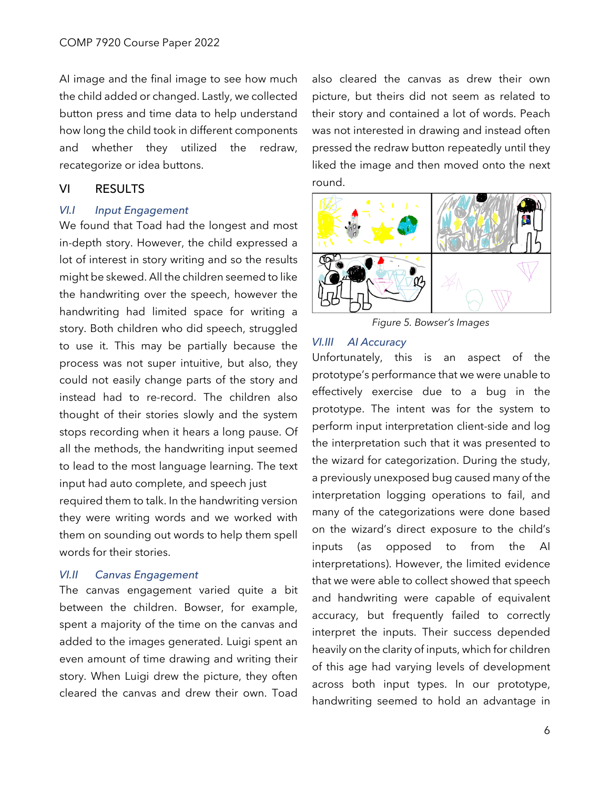AI image and the final image to see how much the child added or changed. Lastly, we collected button press and time data to help understand how long the child took in different components and whether they utilized the redraw, recategorize or idea buttons.

### VI RESULTS

#### *VI.I Input Engagement*

We found that Toad had the longest and most in-depth story. However, the child expressed a lot of interest in story writing and so the results might be skewed. All the children seemed to like the handwriting over the speech, however the handwriting had limited space for writing a story. Both children who did speech, struggled to use it. This may be partially because the process was not super intuitive, but also, they could not easily change parts of the story and instead had to re-record. The children also thought of their stories slowly and the system stops recording when it hears a long pause. Of all the methods, the handwriting input seemed to lead to the most language learning. The text input had auto complete, and speech just

required them to talk. In the handwriting version they were writing words and we worked with them on sounding out words to help them spell words for their stories.

#### *VI.II Canvas Engagement*

The canvas engagement varied quite a bit between the children. Bowser, for example, spent a majority of the time on the canvas and added to the images generated. Luigi spent an even amount of time drawing and writing their story. When Luigi drew the picture, they often cleared the canvas and drew their own. Toad

also cleared the canvas as drew their own picture, but theirs did not seem as related to their story and contained a lot of words. Peach was not interested in drawing and instead often pressed the redraw button repeatedly until they liked the image and then moved onto the next round.



*Figure 5. Bowser's Images*

### *VI.III AI Accuracy*

Unfortunately, this is an aspect of the prototype's performance that we were unable to effectively exercise due to a bug in the prototype. The intent was for the system to perform input interpretation client-side and log the interpretation such that it was presented to the wizard for categorization. During the study, a previously unexposed bug caused many of the interpretation logging operations to fail, and many of the categorizations were done based on the wizard's direct exposure to the child's inputs (as opposed to from the AI interpretations). However, the limited evidence that we were able to collect showed that speech and handwriting were capable of equivalent accuracy, but frequently failed to correctly interpret the inputs. Their success depended heavily on the clarity of inputs, which for children of this age had varying levels of development across both input types. In our prototype, handwriting seemed to hold an advantage in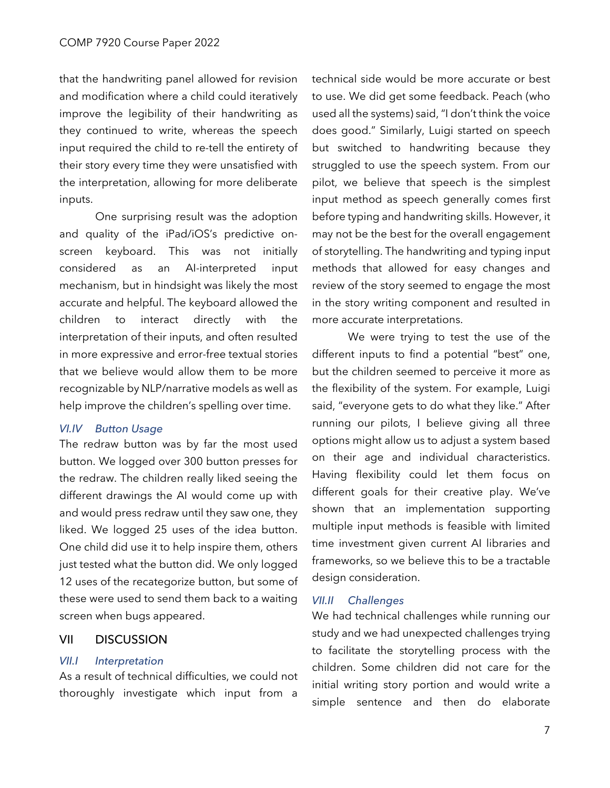that the handwriting panel allowed for revision and modification where a child could iteratively improve the legibility of their handwriting as they continued to write, whereas the speech input required the child to re-tell the entirety of their story every time they were unsatisfied with the interpretation, allowing for more deliberate inputs.

One surprising result was the adoption and quality of the iPad/iOS's predictive onscreen keyboard. This was not initially considered as an AI-interpreted input mechanism, but in hindsight was likely the most accurate and helpful. The keyboard allowed the children to interact directly with the interpretation of their inputs, and often resulted in more expressive and error-free textual stories that we believe would allow them to be more recognizable by NLP/narrative models as well as help improve the children's spelling over time.

#### *VI.IV Button Usage*

The redraw button was by far the most used button. We logged over 300 button presses for the redraw. The children really liked seeing the different drawings the AI would come up with and would press redraw until they saw one, they liked. We logged 25 uses of the idea button. One child did use it to help inspire them, others just tested what the button did. We only logged 12 uses of the recategorize button, but some of these were used to send them back to a waiting screen when bugs appeared.

### VII DISCUSSION

#### *VII.I Interpretation*

As a result of technical difficulties, we could not thoroughly investigate which input from a technical side would be more accurate or best to use. We did get some feedback. Peach (who used all the systems) said, "I don't think the voice does good." Similarly, Luigi started on speech but switched to handwriting because they struggled to use the speech system. From our pilot, we believe that speech is the simplest input method as speech generally comes first before typing and handwriting skills. However, it may not be the best for the overall engagement of storytelling. The handwriting and typing input methods that allowed for easy changes and review of the story seemed to engage the most in the story writing component and resulted in more accurate interpretations.

We were trying to test the use of the different inputs to find a potential "best" one, but the children seemed to perceive it more as the flexibility of the system. For example, Luigi said, "everyone gets to do what they like." After running our pilots, I believe giving all three options might allow us to adjust a system based on their age and individual characteristics. Having flexibility could let them focus on different goals for their creative play. We've shown that an implementation supporting multiple input methods is feasible with limited time investment given current AI libraries and frameworks, so we believe this to be a tractable design consideration.

### *VII.II Challenges*

We had technical challenges while running our study and we had unexpected challenges trying to facilitate the storytelling process with the children. Some children did not care for the initial writing story portion and would write a simple sentence and then do elaborate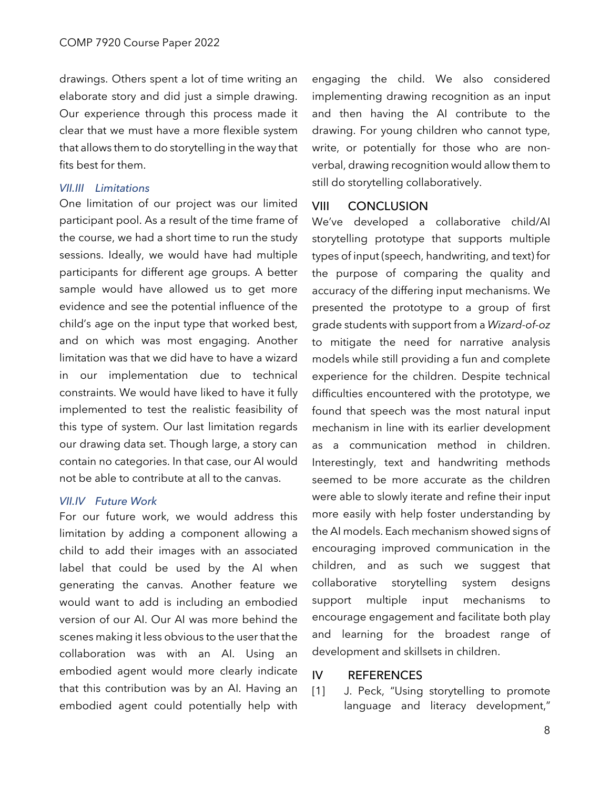drawings. Others spent a lot of time writing an elaborate story and did just a simple drawing. Our experience through this process made it clear that we must have a more flexible system that allows them to do storytelling in the way that fits best for them.

### *VII.III Limitations*

One limitation of our project was our limited participant pool. As a result of the time frame of the course, we had a short time to run the study sessions. Ideally, we would have had multiple participants for different age groups. A better sample would have allowed us to get more evidence and see the potential influence of the child's age on the input type that worked best, and on which was most engaging. Another limitation was that we did have to have a wizard in our implementation due to technical constraints. We would have liked to have it fully implemented to test the realistic feasibility of this type of system. Our last limitation regards our drawing data set. Though large, a story can contain no categories. In that case, our AI would not be able to contribute at all to the canvas.

#### *VII.IV Future Work*

For our future work, we would address this limitation by adding a component allowing a child to add their images with an associated label that could be used by the AI when generating the canvas. Another feature we would want to add is including an embodied version of our AI. Our AI was more behind the scenes making it less obvious to the user that the collaboration was with an AI. Using an embodied agent would more clearly indicate that this contribution was by an AI. Having an embodied agent could potentially help with engaging the child. We also considered implementing drawing recognition as an input and then having the AI contribute to the drawing. For young children who cannot type, write, or potentially for those who are nonverbal, drawing recognition would allow them to still do storytelling collaboratively.

### VIII CONCLUSION

We've developed a collaborative child/AI storytelling prototype that supports multiple types of input (speech, handwriting, and text) for the purpose of comparing the quality and accuracy of the differing input mechanisms. We presented the prototype to a group of first grade students with support from a *Wizard-of-oz* to mitigate the need for narrative analysis models while still providing a fun and complete experience for the children. Despite technical difficulties encountered with the prototype, we found that speech was the most natural input mechanism in line with its earlier development as a communication method in children. Interestingly, text and handwriting methods seemed to be more accurate as the children were able to slowly iterate and refine their input more easily with help foster understanding by the AI models. Each mechanism showed signs of encouraging improved communication in the children, and as such we suggest that collaborative storytelling system designs support multiple input mechanisms to encourage engagement and facilitate both play and learning for the broadest range of development and skillsets in children.

### IV REFERENCES

[1] J. Peck, "Using storytelling to promote language and literacy development,"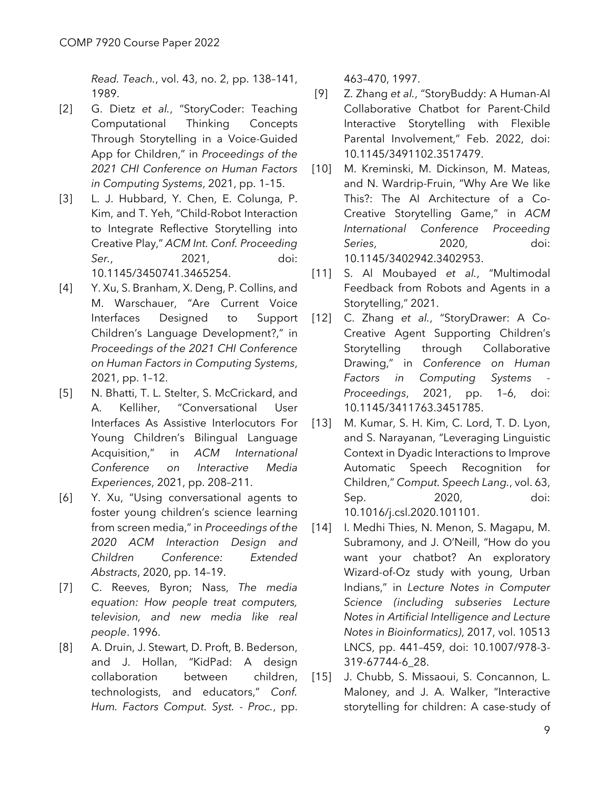*Read. Teach.*, vol. 43, no. 2, pp. 138–141, 1989.

- [2] G. Dietz *et al.*, "StoryCoder: Teaching Computational Thinking Concepts Through Storytelling in a Voice-Guided App for Children," in *Proceedings of the 2021 CHI Conference on Human Factors in Computing Systems*, 2021, pp. 1–15.
- [3] L. J. Hubbard, Y. Chen, E. Colunga, P. Kim, and T. Yeh, "Child-Robot Interaction to Integrate Reflective Storytelling into Creative Play," *ACM Int. Conf. Proceeding Ser.*, 2021, doi: 10.1145/3450741.3465254.
- [4] Y. Xu, S. Branham, X. Deng, P. Collins, and M. Warschauer, "Are Current Voice Interfaces Designed to Support Children's Language Development?," in *Proceedings of the 2021 CHI Conference on Human Factors in Computing Systems*, 2021, pp. 1–12.
- [5] N. Bhatti, T. L. Stelter, S. McCrickard, and A. Kelliher, "Conversational User Interfaces As Assistive Interlocutors For Young Children's Bilingual Language Acquisition," in *ACM International Conference on Interactive Media Experiences*, 2021, pp. 208–211.
- [6] Y. Xu, "Using conversational agents to foster young children's science learning from screen media," in *Proceedings of the 2020 ACM Interaction Design and Children Conference: Extended Abstracts*, 2020, pp. 14–19.
- [7] C. Reeves, Byron; Nass, *The media equation: How people treat computers, television, and new media like real people*. 1996.
- [8] A. Druin, J. Stewart, D. Proft, B. Bederson, and J. Hollan, "KidPad: A design collaboration between children, technologists, and educators," *Conf. Hum. Factors Comput. Syst. - Proc.*, pp.

463–470, 1997.

- [9] Z. Zhang *et al.*, "StoryBuddy: A Human-AI Collaborative Chatbot for Parent-Child Interactive Storytelling with Flexible Parental Involvement," Feb. 2022, doi: 10.1145/3491102.3517479.
- [10] M. Kreminski, M. Dickinson, M. Mateas, and N. Wardrip-Fruin, "Why Are We like This?: The AI Architecture of a Co-Creative Storytelling Game," in *ACM International Conference Proceeding Series*, 2020, doi: 10.1145/3402942.3402953.
- [11] S. Al Moubayed *et al.*, "Multimodal Feedback from Robots and Agents in a Storytelling," 2021.
- [12] C. Zhang *et al.*, "StoryDrawer: A Co-Creative Agent Supporting Children's Storytelling through Collaborative Drawing," in *Conference on Human Factors in Computing Systems - Proceedings*, 2021, pp. 1–6, doi: 10.1145/3411763.3451785.
- [13] M. Kumar, S. H. Kim, C. Lord, T. D. Lyon, and S. Narayanan, "Leveraging Linguistic Context in Dyadic Interactions to Improve Automatic Speech Recognition for Children," *Comput. Speech Lang.*, vol. 63, Sep. 2020, doi: 10.1016/j.csl.2020.101101.
- [14] I. Medhi Thies, N. Menon, S. Magapu, M. Subramony, and J. O'Neill, "How do you want your chatbot? An exploratory Wizard-of-Oz study with young, Urban Indians," in *Lecture Notes in Computer Science (including subseries Lecture Notes in Artificial Intelligence and Lecture Notes in Bioinformatics)*, 2017, vol. 10513 LNCS, pp. 441–459, doi: 10.1007/978-3- 319-67744-6\_28.
- [15] J. Chubb, S. Missaoui, S. Concannon, L. Maloney, and J. A. Walker, "Interactive storytelling for children: A case-study of